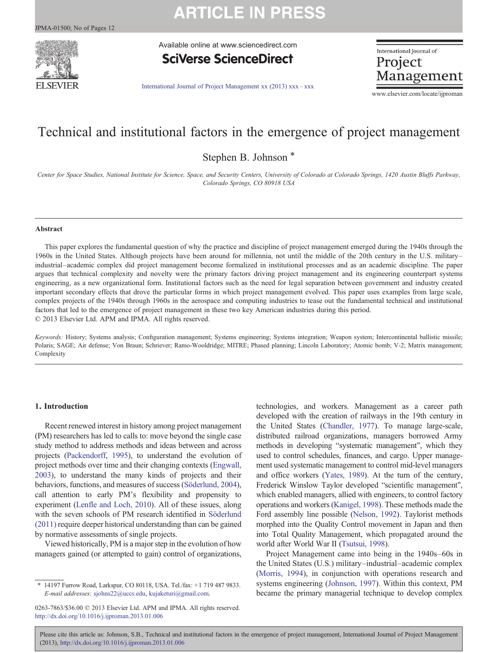# **ARTICLE IN PRESS**



Available online at www.sciencedirect.com

**SciVerse ScienceDirect** 

International Journal of Project Management

[International Journal of Project Management xx \(2013\) xxx](http://dx.doi.org/10.1016/j.ijproman.2013.01.006)–xxx

www.elsevier.com/locate/ijproman

### Technical and institutional factors in the emergence of project management

Stephen B. Johnson<sup>\*</sup>

Center for Space Studies, National Institute for Science, Space, and Security Centers, University of Colorado at Colorado Springs, 1420 Austin Bluffs Parkway, Colorado Springs, CO 80918 USA

#### Abstract

This paper explores the fundamental question of why the practice and discipline of project management emerged during the 1940s through the 1960s in the United States. Although projects have been around for millennia, not until the middle of the 20th century in the U.S. military– industrial–academic complex did project management become formalized in institutional processes and as an academic discipline. The paper argues that technical complexity and novelty were the primary factors driving project management and its engineering counterpart systems engineering, as a new organizational form. Institutional factors such as the need for legal separation between government and industry created important secondary effects that drove the particular forms in which project management evolved. This paper uses examples from large scale, complex projects of the 1940s through 1960s in the aerospace and computing industries to tease out the fundamental technical and institutional factors that led to the emergence of project management in these two key American industries during this period. © 2013 Elsevier Ltd. APM and IPMA. All rights reserved.

Keywords: History; Systems analysis; Configuration management; Systems engineering; Systems integration; Weapon system; Intercontinental ballistic missile; Polaris; SAGE; Air defense; Von Braun; Schriever; Ramo-Wooldridge; MITRE; Phased planning; Lincoln Laboratory; Atomic bomb; V-2; Matrix management; Complexity

### 1. Introduction

Recent renewed interest in history among project management (PM) researchers has led to calls to: move beyond the single case study method to address methods and ideas between and across projects [\(Packendorff, 1995\)](#page--1-0), to understand the evolution of project methods over time and their changing contexts ([Engwall,](#page--1-0) [2003](#page--1-0)), to understand the many kinds of projects and their behaviors, functions, and measures of success ([Söderlund, 2004\)](#page--1-0), call attention to early PM's flexibility and propensity to experiment ([Lenfle and Loch, 2010\)](#page--1-0). All of these issues, along with the seven schools of PM research identified in [Söderlund](#page--1-0) [\(2011\)](#page--1-0) require deeper historical understanding than can be gained by normative assessments of single projects.

Viewed historically, PM is a major step in the evolution of how managers gained (or attempted to gain) control of organizations, technologies, and workers. Management as a career path developed with the creation of railways in the 19th century in the United States [\(Chandler, 1977](#page--1-0)). To manage large-scale, distributed railroad organizations, managers borrowed Army methods in developing "systematic management", which they used to control schedules, finances, and cargo. Upper management used systematic management to control mid-level managers and office workers [\(Yates, 1989](#page--1-0)). At the turn of the century, Frederick Winslow Taylor developed "scientific management", which enabled managers, allied with engineers, to control factory operations and workers ([Kanigel, 1998](#page--1-0)). These methods made the Ford assembly line possible [\(Nelson, 1992](#page--1-0)). Taylorist methods morphed into the Quality Control movement in Japan and then into Total Quality Management, which propagated around the world after World War II [\(Tsutsui, 1998](#page--1-0)).

Project Management came into being in the 1940s–60s in the United States (U.S.) military–industrial–academic complex ([Morris, 1994\)](#page--1-0), in conjunction with operations research and systems engineering ([Johnson, 1997](#page--1-0)). Within this context, PM became the primary managerial technique to develop complex

Please cite this article as: Johnson, S.B., Technical and institutional factors in the emergence of project management, International Journal of Project Management (2013), <http://dx.doi.org/10.1016/j.ijproman.2013.01.006>

<sup>⁎</sup> 14197 Furrow Road, Larkspur, CO 80118, USA. Tel./fax: +1 719 487 9833. E-mail addresses: [sjohns22@uccs.edu,](mailto:sjohns22@uccs.edu) [kujaketuri@gmail.com.](mailto:kujaketuri@gmail.com)

<sup>0263-7863/\$36.00 © 2013</sup> Elsevier Ltd. APM and IPMA. All rights reserved. <http://dx.doi.org/10.1016/j.ijproman.2013.01.006>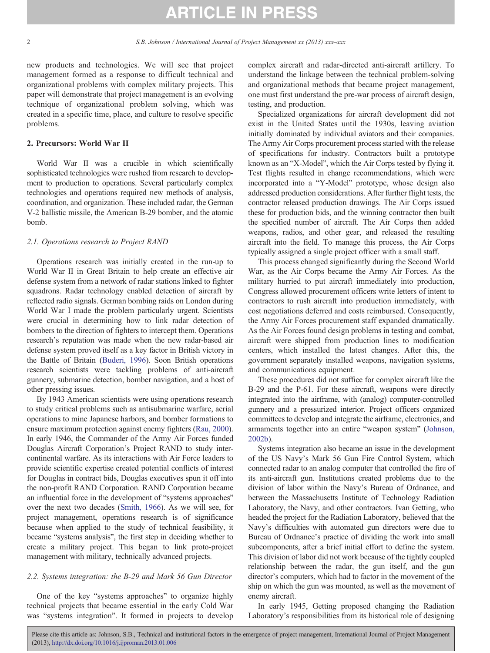# **ARTICLE IN PRESS**

new products and technologies. We will see that project management formed as a response to difficult technical and organizational problems with complex military projects. This paper will demonstrate that project management is an evolving technique of organizational problem solving, which was created in a specific time, place, and culture to resolve specific problems.

### 2. Precursors: World War II

World War II was a crucible in which scientifically sophisticated technologies were rushed from research to development to production to operations. Several particularly complex technologies and operations required new methods of analysis, coordination, and organization. These included radar, the German V-2 ballistic missile, the American B-29 bomber, and the atomic bomb.

#### 2.1. Operations research to Project RAND

Operations research was initially created in the run-up to World War II in Great Britain to help create an effective air defense system from a network of radar stations linked to fighter squadrons. Radar technology enabled detection of aircraft by reflected radio signals. German bombing raids on London during World War I made the problem particularly urgent. Scientists were crucial in determining how to link radar detection of bombers to the direction of fighters to intercept them. Operations research's reputation was made when the new radar-based air defense system proved itself as a key factor in British victory in the Battle of Britain [\(Buderi, 1996](#page--1-0)). Soon British operations research scientists were tackling problems of anti-aircraft gunnery, submarine detection, bomber navigation, and a host of other pressing issues.

By 1943 American scientists were using operations research to study critical problems such as antisubmarine warfare, aerial operations to mine Japanese harbors, and bomber formations to ensure maximum protection against enemy fighters ([Rau, 2000](#page--1-0)). In early 1946, the Commander of the Army Air Forces funded Douglas Aircraft Corporation's Project RAND to study intercontinental warfare. As its interactions with Air Force leaders to provide scientific expertise created potential conflicts of interest for Douglas in contract bids, Douglas executives spun it off into the non-profit RAND Corporation. RAND Corporation became an influential force in the development of "systems approaches" over the next two decades [\(Smith, 1966\)](#page--1-0). As we will see, for project management, operations research is of significance because when applied to the study of technical feasibility, it became "systems analysis", the first step in deciding whether to create a military project. This began to link proto-project management with military, technically advanced projects.

### 2.2. Systems integration: the B-29 and Mark 56 Gun Director

One of the key "systems approaches" to organize highly technical projects that became essential in the early Cold War was "systems integration". It formed in projects to develop

complex aircraft and radar-directed anti-aircraft artillery. To understand the linkage between the technical problem-solving and organizational methods that became project management, one must first understand the pre-war process of aircraft design, testing, and production.

Specialized organizations for aircraft development did not exist in the United States until the 1930s, leaving aviation initially dominated by individual aviators and their companies. The Army Air Corps procurement process started with the release of specifications for industry. Contractors built a prototype known as an "X-Model", which the Air Corps tested by flying it. Test flights resulted in change recommendations, which were incorporated into a "Y-Model" prototype, whose design also addressed production considerations. After further flight tests, the contractor released production drawings. The Air Corps issued these for production bids, and the winning contractor then built the specified number of aircraft. The Air Corps then added weapons, radios, and other gear, and released the resulting aircraft into the field. To manage this process, the Air Corps typically assigned a single project officer with a small staff.

This process changed significantly during the Second World War, as the Air Corps became the Army Air Forces. As the military hurried to put aircraft immediately into production, Congress allowed procurement officers write letters of intent to contractors to rush aircraft into production immediately, with cost negotiations deferred and costs reimbursed. Consequently, the Army Air Forces procurement staff expanded dramatically. As the Air Forces found design problems in testing and combat, aircraft were shipped from production lines to modification centers, which installed the latest changes. After this, the government separately installed weapons, navigation systems, and communications equipment.

These procedures did not suffice for complex aircraft like the B-29 and the P-61. For these aircraft, weapons were directly integrated into the airframe, with (analog) computer-controlled gunnery and a pressurized interior. Project officers organized committees to develop and integrate the airframe, electronics, and armaments together into an entire "weapon system" [\(Johnson,](#page--1-0) [2002b](#page--1-0)).

Systems integration also became an issue in the development of the US Navy's Mark 56 Gun Fire Control System, which connected radar to an analog computer that controlled the fire of its anti-aircraft gun. Institutions created problems due to the division of labor within the Navy's Bureau of Ordnance, and between the Massachusetts Institute of Technology Radiation Laboratory, the Navy, and other contractors. Ivan Getting, who headed the project for the Radiation Laboratory, believed that the Navy's difficulties with automated gun directors were due to Bureau of Ordnance's practice of dividing the work into small subcomponents, after a brief initial effort to define the system. This division of labor did not work because of the tightly coupled relationship between the radar, the gun itself, and the gun director's computers, which had to factor in the movement of the ship on which the gun was mounted, as well as the movement of enemy aircraft.

In early 1945, Getting proposed changing the Radiation Laboratory's responsibilities from its historical role of designing

Please cite this article as: Johnson, S.B., Technical and institutional factors in the emergence of project management, International Journal of Project Management (2013), <http://dx.doi.org/10.1016/j.ijproman.2013.01.006>